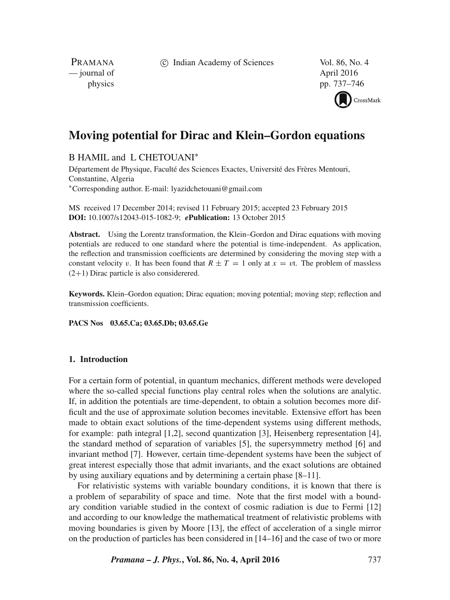c Indian Academy of Sciences Vol. 86, No. 4

PRAMANA — journal of April 2016

physics pp. 737–746



# **Moving potential for Dirac and Klein–Gordon equations**

B HAMIL and L CHETOUANI<sup>\*</sup>

Département de Physique, Faculté des Sciences Exactes, Université des Frères Mentouri, Constantine, Algeria ∗Corresponding author. E-mail: lyazidchetouani@gmail.com

MS received 17 December 2014; revised 11 February 2015; accepted 23 February 2015 **DOI:** 10.1007/s12043-015-1082-9; *e***Publication:** 13 October 2015

**Abstract.** Using the Lorentz transformation, the Klein–Gordon and Dirac equations with moving potentials are reduced to one standard where the potential is time-independent. As application, the reflection and transmission coefficients are determined by considering the moving step with a constant velocity v. It has been found that  $R \pm T = 1$  only at  $x = vt$ . The problem of massless  $(2+1)$  Dirac particle is also considerered.

**Keywords.** Klein–Gordon equation; Dirac equation; moving potential; moving step; reflection and transmission coefficients.

**PACS Nos 03.65.Ca; 03.65.Db; 03.65.Ge**

## **1. Introduction**

For a certain form of potential, in quantum mechanics, different methods were developed where the so-called special functions play central roles when the solutions are analytic. If, in addition the potentials are time-dependent, to obtain a solution becomes more difficult and the use of approximate solution becomes inevitable. Extensive effort has been made to obtain exact solutions of the time-dependent systems using different methods, for example: path integral [1,2], second quantization [3], Heisenberg representation [4], the standard method of separation of variables [5], the supersymmetry method [6] and invariant method [7]. However, certain time-dependent systems have been the subject of great interest especially those that admit invariants, and the exact solutions are obtained by using auxiliary equations and by determining a certain phase [8–11].

For relativistic systems with variable boundary conditions, it is known that there is a problem of separability of space and time. Note that the first model with a boundary condition variable studied in the context of cosmic radiation is due to Fermi [12] and according to our knowledge the mathematical treatment of relativistic problems with moving boundaries is given by Moore [13], the effect of acceleration of a single mirror on the production of particles has been considered in [14–16] and the case of two or more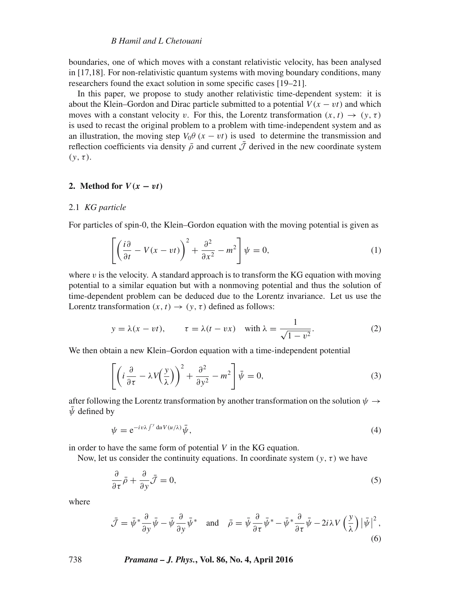## *B Hamil and L Chetouani*

boundaries, one of which moves with a constant relativistic velocity, has been analysed in [17,18]. For non-relativistic quantum systems with moving boundary conditions, many researchers found the exact solution in some specific cases [19–21].

In this paper, we propose to study another relativistic time-dependent system: it is about the Klein–Gordon and Dirac particle submitted to a potential  $V(x - vt)$  and which moves with a constant velocity v. For this, the Lorentz transformation  $(x, t) \rightarrow (y, \tau)$ is used to recast the original problem to a problem with time-independent system and as an illustration, the moving step  $V_0 \theta$  (x – vt) is used to determine the transmission and reflection coefficients via density  $\bar{\rho}$  and current  $\bar{\mathcal{J}}$  derived in the new coordinate system  $(v, \tau)$ .

### **2.** Method for  $V(x - vt)$

#### 2.1 *KG particle*

For particles of spin-0, the Klein–Gordon equation with the moving potential is given as

$$
\left[ \left( \frac{i\partial}{\partial t} - V(x - vt) \right)^2 + \frac{\partial^2}{\partial x^2} - m^2 \right] \psi = 0, \tag{1}
$$

where  $v$  is the velocity. A standard approach is to transform the KG equation with moving potential to a similar equation but with a nonmoving potential and thus the solution of time-dependent problem can be deduced due to the Lorentz invariance. Let us use the Lorentz transformation  $(x, t) \rightarrow (y, \tau)$  defined as follows:

$$
y = \lambda(x - vt),
$$
  $\tau = \lambda(t - vx)$  with  $\lambda = \frac{1}{\sqrt{1 - v^2}}$ . (2)

We then obtain a new Klein–Gordon equation with a time-independent potential

$$
\left[ \left( i \frac{\partial}{\partial \tau} - \lambda V \left( \frac{y}{\lambda} \right) \right)^2 + \frac{\partial^2}{\partial y^2} - m^2 \right] \bar{\psi} = 0, \tag{3}
$$

after following the Lorentz transformation by another transformation on the solution  $\psi \rightarrow$  $\bar{\psi}$  defined by

$$
\psi = e^{-i\upsilon\lambda \int^y du V(u/\lambda)} \bar{\psi},\tag{4}
$$

in order to have the same form of potential  $V$  in the KG equation.

Now, let us consider the continuity equations. In coordinate system ( $y, \tau$ ) we have

$$
\frac{\partial}{\partial \tau}\bar{\rho} + \frac{\partial}{\partial y}\bar{\mathcal{J}} = 0,\tag{5}
$$

where

$$
\bar{\mathcal{J}} = \bar{\psi}^* \frac{\partial}{\partial y} \bar{\psi} - \bar{\psi} \frac{\partial}{\partial y} \bar{\psi}^* \quad \text{and} \quad \bar{\rho} = \bar{\psi} \frac{\partial}{\partial \tau} \bar{\psi}^* - \bar{\psi}^* \frac{\partial}{\partial \tau} \bar{\psi} - 2i\lambda V \left(\frac{y}{\lambda}\right) \left| \bar{\psi} \right|^2,
$$
\n(6)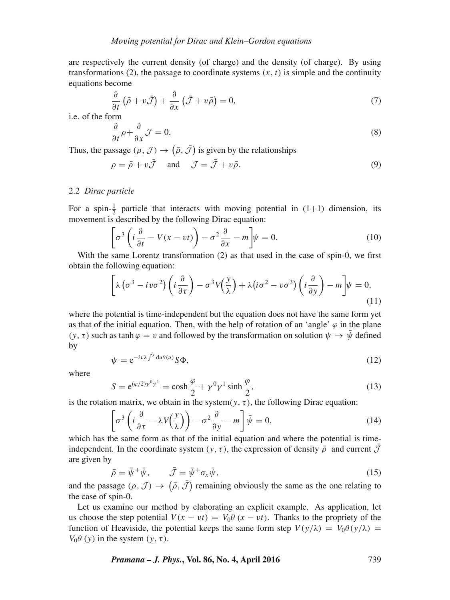are respectively the current density (of charge) and the density (of charge). By using transformations (2), the passage to coordinate systems  $(x, t)$  is simple and the continuity equations become

$$
\frac{\partial}{\partial t} \left( \bar{\rho} + v \bar{\mathcal{J}} \right) + \frac{\partial}{\partial x} \left( \bar{\mathcal{J}} + v \bar{\rho} \right) = 0, \tag{7}
$$

i.e. of the form

$$
\frac{\partial}{\partial t}\rho + \frac{\partial}{\partial x}\mathcal{J} = 0.
$$
\n(8)

Thus, the passage  $(\rho, \mathcal{J}) \rightarrow (\bar{\rho}, \mathcal{J})$  is given by the relationships

$$
\rho = \bar{\rho} + v\bar{\mathcal{J}} \quad \text{and} \quad \mathcal{J} = \bar{\mathcal{J}} + v\bar{\rho}.\tag{9}
$$

## 2.2 *Dirac particle*

For a spin- $\frac{1}{2}$  particle that interacts with moving potential in (1+1) dimension, its movement is described by the following Dirac equation:

$$
\left[\sigma^3 \left(i \frac{\partial}{\partial t} - V(x - vt)\right) - \sigma^2 \frac{\partial}{\partial x} - m\right] \psi = 0.
$$
 (10)

With the same Lorentz transformation (2) as that used in the case of spin-0, we first obtain the following equation:

$$
\left[\lambda\left(\sigma^3 - i v \sigma^2\right) \left(i \frac{\partial}{\partial \tau}\right) - \sigma^3 V\left(\frac{y}{\lambda}\right) + \lambda\left(i \sigma^2 - v \sigma^3\right) \left(i \frac{\partial}{\partial y}\right) - m\right] \psi = 0,
$$
\n(11)

where the potential is time-independent but the equation does not have the same form yet as that of the initial equation. Then, with the help of rotation of an 'angle'  $\varphi$  in the plane  $(y, \tau)$  such as tanh  $\varphi = v$  and followed by the transformation on solution  $\psi \to \bar{\psi}$  defined by

$$
\psi = e^{-i\upsilon\lambda \int^{\gamma} du \theta(u)} S\Phi,
$$
\n(12)

where

$$
S = e^{(\varphi/2)\gamma^0 \gamma^1} = \cosh\frac{\varphi}{2} + \gamma^0 \gamma^1 \sinh\frac{\varphi}{2},\tag{13}
$$

is the rotation matrix, we obtain in the system(y,  $\tau$ ), the following Dirac equation:

$$
\left[\sigma^3\left(i\frac{\partial}{\partial\tau} - \lambda V(\frac{y}{\lambda})\right) - \sigma^2 \frac{\partial}{\partial y} - m\right]\bar{\psi} = 0, \tag{14}
$$

which has the same form as that of the initial equation and where the potential is timeindependent. In the coordinate system (y, τ), the expression of density  $\bar{\rho}$  and current  $\mathcal{J}$ are given by

$$
\bar{\rho} = \bar{\psi}^+ \bar{\psi}, \qquad \bar{\mathcal{J}} = \bar{\psi}^+ \sigma_x \bar{\psi}, \tag{15}
$$

and the passage  $(\rho, \mathcal{J}) \rightarrow (\bar{\rho}, \mathcal{J})$  remaining obviously the same as the one relating to the case of spin-0.

Let us examine our method by elaborating an explicit example. As application, let us choose the step potential  $V(x - vt) = V_0 \theta (x - vt)$ . Thanks to the propriety of the function of Heaviside, the potential keeps the same form step  $V(y/\lambda) = V_0 \theta(y/\lambda)$  $V_0$  $\theta$  (y) in the system (y, τ).

*Pramana – J. Phys.***, Vol. 86, No. 4, April 2016** 739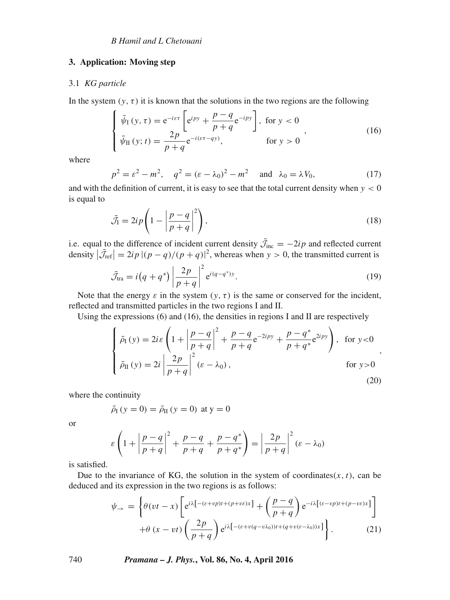## **3. Application: Moving step**

#### 3.1 *KG particle*

In the system  $(y, \tau)$  it is known that the solutions in the two regions are the following

$$
\begin{cases}\n\bar{\psi}_I(y,\tau) = e^{-i\varepsilon\tau} \left[ e^{ipy} + \frac{p-q}{p+q} e^{-ipy} \right], \text{ for } y < 0 \\
\bar{\psi}_II(y;\,t) = \frac{2p}{p+q} e^{-i(\varepsilon\tau - qy)}, \quad \text{ for } y > 0\n\end{cases}
$$
\n
$$
(16)
$$

where

$$
p^2 = \varepsilon^2 - m^2
$$
,  $q^2 = (\varepsilon - \lambda_0)^2 - m^2$  and  $\lambda_0 = \lambda V_0$ , (17)

and with the definition of current, it is easy to see that the total current density when  $y < 0$ is equal to

$$
\bar{\mathcal{J}}_I = 2ip \left( 1 - \left| \frac{p - q}{p + q} \right|^2 \right),\tag{18}
$$

i.e. equal to the difference of incident current density  $\mathcal{J}_{inc} = -2ip$  and reflected current density  $|\bar{\mathcal{J}}_{\text{ref}}| = 2ip |(p - q)/(p + q)|^2$ , whereas when  $y > 0$ , the transmitted current is

$$
\bar{\mathcal{J}}_{\text{tra}} = i \left( q + q^* \right) \left| \frac{2p}{p+q} \right|^2 e^{i(q-q^*)y}.
$$
 (19)

Note that the energy  $\varepsilon$  in the system  $(y, \tau)$  is the same or conserved for the incident, reflected and transmitted particles in the two regions I and II.

Using the expressions (6) and (16), the densities in regions I and II are respectively

$$
\begin{cases}\n\bar{\rho}_{I}(y) = 2i\varepsilon \left(1 + \left|\frac{p-q}{p+q}\right|^2 + \frac{p-q}{p+q}e^{-2ipy} + \frac{p-q^*}{p+q^*}e^{2ipy}\right), & \text{for } y < 0 \\
\bar{\rho}_{II}(y) = 2i \left|\frac{2p}{p+q}\right|^2 (\varepsilon - \lambda_0), & \text{for } y > 0\n\end{cases}
$$
\n(20)

where the continuity

$$
\bar{\rho}_{I}(y = 0) = \bar{\rho}_{II}(y = 0)
$$
 at  $y = 0$ 

or

$$
\varepsilon \left( 1 + \left| \frac{p - q}{p + q} \right|^2 + \frac{p - q}{p + q} + \frac{p - q^*}{p + q^*} \right) = \left| \frac{2p}{p + q} \right|^2 (\varepsilon - \lambda_0)
$$

is satisfied.

Due to the invariance of KG, the solution in the system of coordinates $(x, t)$ , can be deduced and its expression in the two regions is as follows:

$$
\psi_{\rightarrow} = \left\{ \theta(vt - x) \left[ e^{i\lambda \left[ - (\varepsilon + vp)t + (p + v\varepsilon)x \right]} + \left( \frac{p - q}{p + q} \right) e^{-i\lambda \left[ (\varepsilon - vp)t + (p - v\varepsilon)x \right]} \right] + \theta(x - vt) \left( \frac{2p}{p + q} \right) e^{i\lambda \left[ - (\varepsilon + v(q - v\lambda_0))t + (q + v(\varepsilon - \lambda_0))x \right]} \right\}.
$$
\n(21)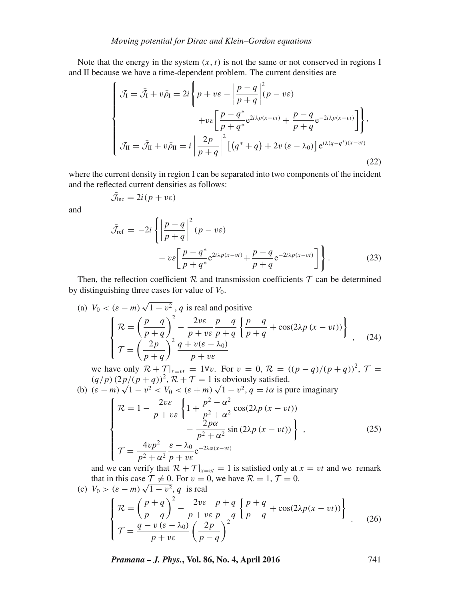Note that the energy in the system  $(x, t)$  is not the same or not conserved in regions I and II because we have a time-dependent problem. The current densities are

$$
\begin{cases}\n\mathcal{J}_I = \bar{\mathcal{J}}_I + v\bar{\rho}_I = 2i \left\{ p + v\varepsilon - \left| \frac{p - q}{p + q} \right|^2 (p - v\varepsilon) \right. \\
\left. + v\varepsilon \left[ \frac{p - q^*}{p + q^*} e^{2i\lambda p(x - vt)} + \frac{p - q}{p + q} e^{-2i\lambda p(x - vt)} \right] \right\}, \\
\mathcal{J}_I = \bar{\mathcal{J}}_I + v\bar{\rho}_I = i \left| \frac{2p}{p + q} \right|^2 \left[ \left( q^* + q \right) + 2v \left( \varepsilon - \lambda_0 \right) \right] e^{i\lambda (q - q^*)(x - vt)}\n\end{cases}
$$
\n(22)

where the current density in region I can be separated into two components of the incident and the reflected current densities as follows:

$$
\bar{\mathcal{J}}_{\text{inc}} = 2i(p + v\epsilon)
$$

and

$$
\bar{\mathcal{J}}_{\text{ref}} = -2i \left\{ \left| \frac{p-q}{p+q} \right|^2 (p - v \varepsilon) - v \varepsilon \left[ \frac{p-q^*}{p+q^*} e^{2i\lambda p (x-vt)} + \frac{p-q}{p+q} e^{-2i\lambda p (x-vt)} \right] \right\}.
$$
\n(23)

Then, the reflection coefficient  $R$  and transmission coefficients  $T$  can be determined by distinguishing three cases for value of  $V_0$ .

(a) 
$$
V_0 < (\varepsilon - m) \sqrt{1 - v^2}
$$
, q is real and positive  
\n
$$
\begin{cases}\n\mathcal{R} = \left(\frac{p - q}{p + q}\right)^2 - \frac{2v\varepsilon}{p + v\varepsilon} \frac{p - q}{p + q} \left\{\frac{p - q}{p + q} + \cos(2\lambda p (x - vt))\right\} \\
\mathcal{T} = \left(\frac{2p}{p + q}\right)^2 \frac{q + v(\varepsilon - \lambda_0)}{p + v\varepsilon}\n\end{cases}
$$
\n(24)

we have only  $\mathcal{R} + \mathcal{T}|_{x=vt} = 1 \forall v$ . For  $v = 0$ ,  $\mathcal{R} = ((p - q)/(p + q))^2$ ,  $\mathcal{T} =$ 

$$
(q/p) (2p/(p+q))^{2}, \mathcal{R} + \mathcal{T} = 1
$$
 is obviously satisfied.  
(b)  $(\varepsilon - m) \sqrt{1 - v^{2}} < V_{0} < (\varepsilon + m) \sqrt{1 - v^{2}}, q = i\alpha$  is pure imaginary

$$
\begin{cases}\n\mathcal{R} = 1 - \frac{2v\varepsilon}{p + v\varepsilon} \left\{ 1 + \frac{p^2 - \alpha^2}{p^2 + \alpha^2} \cos(2\lambda p (x - vt)) - \frac{2p\alpha}{p^2 + \alpha^2} \sin(2\lambda p (x - vt)) \right\}, \\
\mathcal{T} = \frac{4vp^2}{p^2 + \alpha^2} \frac{\varepsilon - \lambda_0}{p + v\varepsilon} e^{-2\lambda\alpha(x - vt)} \\
\mathcal{T} = \frac{1}{p^2 + \alpha^2} \frac{\varepsilon - \lambda_0}{p + v\varepsilon} e^{-2\lambda\alpha(x - vt)}\n\end{cases}
$$
\n(25)

and we can verify that  $\mathcal{R} + \mathcal{T}|_{x=vt} = 1$  is satisfied only at  $x = vt$  and we remark that in this case  $\mathcal{T} \neq 0$ . For  $v = 0$ , we have  $\mathcal{R} = 1, \mathcal{T} = 0$ .

(c) 
$$
V_0 > (\varepsilon - m) \sqrt{1 - v^2}
$$
, q is real  
\n
$$
\begin{cases}\n\mathcal{R} = \left(\frac{p+q}{p-q}\right)^2 - \frac{2v\varepsilon}{p+v\varepsilon} \frac{p+q}{p-q} \left\{\frac{p+q}{p-q} + \cos(2\lambda p(x-vt))\right\} \\
\mathcal{T} = \frac{q-v(\varepsilon-\lambda_0)}{p+v\varepsilon} \left(\frac{2p}{p-q}\right)^2\n\end{cases}
$$
\n(26)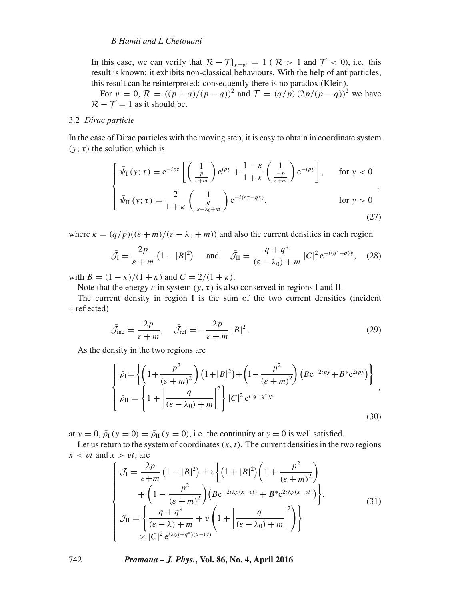## *B Hamil and L Chetouani*

In this case, we can verify that  $\mathcal{R} - \mathcal{T}|_{x=vt} = 1$  ( $\mathcal{R} > 1$  and  $\mathcal{T} < 0$ ), i.e. this result is known: it exhibits non-classical behaviours. With the help of antiparticles, this result can be reinterpreted: consequently there is no paradox (Klein).

For  $v = 0$ ,  $\mathcal{R} = ((p+q)/(p-q))^2$  and  $\mathcal{T} = (q/p)(2p/(p-q))^2$  we have  $\mathcal{R} - \mathcal{T} = 1$  as it should be.

## 3.2 *Dirac particle*

In the case of Dirac particles with the moving step, it is easy to obtain in coordinate system (y;  $\tau$ ) the solution which is

$$
\begin{cases}\n\bar{\psi}_{\text{I}}\left(y;\,\tau\right) = \mathrm{e}^{-i\varepsilon\tau} \left[ \left(\frac{1}{\frac{p}{\varepsilon+m}}\right) \mathrm{e}^{ipy} + \frac{1-\kappa}{1+\kappa} \left(\frac{1}{\frac{-p}{\varepsilon+m}}\right) \mathrm{e}^{-ipy} \right], & \text{for } y < 0 \\
\bar{\psi}_{\text{II}}\left(y;\,\tau\right) = \frac{2}{1+\kappa} \left(\frac{1}{\frac{q}{\varepsilon-\lambda_0+m}}\right) \mathrm{e}^{-i(\varepsilon\tau-qy)}, & \text{for } y > 0\n\end{cases}
$$
\n
$$
(27)
$$

where  $\kappa = (q/p)((\varepsilon + m)/(\varepsilon - \lambda_0 + m))$  and also the current densities in each region

$$
\bar{\mathcal{J}}_I = \frac{2p}{\varepsilon + m} \left( 1 - |B|^2 \right) \quad \text{and} \quad \bar{\mathcal{J}}_{II} = \frac{q + q^*}{(\varepsilon - \lambda_0) + m} \left| C \right|^2 e^{-i(q^* - q)y}, \quad (28)
$$

with  $B = (1 - \kappa)/(1 + \kappa)$  and  $C = 2/(1 + \kappa)$ .

Note that the energy  $\varepsilon$  in system  $(y, \tau)$  is also conserved in regions I and II.

The current density in region I is the sum of the two current densities (incident +reflected)

$$
\bar{\mathcal{J}}_{\text{inc}} = \frac{2p}{\varepsilon + m}, \quad \bar{\mathcal{J}}_{\text{ref}} = -\frac{2p}{\varepsilon + m} |B|^2. \tag{29}
$$

As the density in the two regions are

$$
\begin{cases}\n\bar{\rho}_{\rm I} = \left\{ \left( 1 + \frac{p^2}{(\varepsilon + m)^2} \right) \left( 1 + |B|^2 \right) + \left( 1 - \frac{p^2}{(\varepsilon + m)^2} \right) \left( B e^{-2ipy} + B^* e^{2ipy} \right) \right\}, \\
\bar{\rho}_{\rm II} = \left\{ 1 + \left| \frac{q}{(\varepsilon - \lambda_0) + m} \right|^2 \right\} |C|^2 e^{i(q - q^*)y} \n\end{cases} \tag{30}
$$

at  $y = 0$ ,  $\bar{\rho}_I$  ( $y = 0$ ) =  $\bar{\rho}_{II}$  ( $y = 0$ ), i.e. the continuity at  $y = 0$  is well satisfied.

Let us return to the system of coordinates  $(x, t)$ . The current densities in the two regions  $x < vt$  and  $x > vt$ , are

$$
\begin{cases}\n\mathcal{J}_I = \frac{2p}{\varepsilon + m} \left( 1 - |B|^2 \right) + v \left\{ \left( 1 + |B|^2 \right) \left( 1 + \frac{p^2}{(\varepsilon + m)^2} \right) + \left( 1 - \frac{p^2}{(\varepsilon + m)^2} \right) \left( B e^{-2i\lambda p (x - vt)} + B^* e^{2i\lambda p (x - vt)} \right) \right\}.\n\end{cases}
$$
\n
$$
\mathcal{J}_I = \begin{cases}\n\frac{q + q^*}{(\varepsilon - \lambda) + m} + v \left( 1 + \left| \frac{q}{(\varepsilon - \lambda_0) + m} \right|^2 \right) \\ \times |C|^2 e^{i\lambda (q - q^*)(x - vt)}\n\end{cases}
$$
\n(31)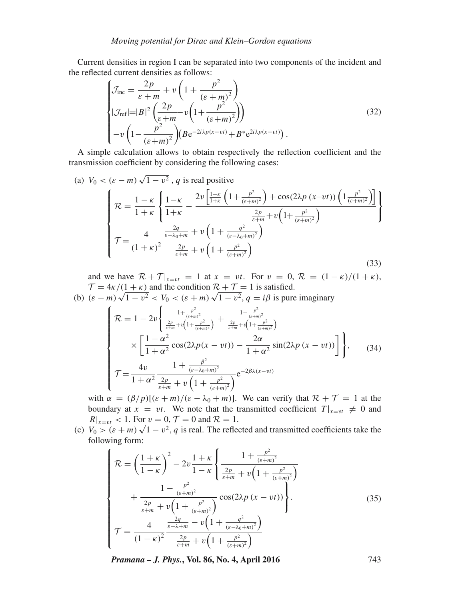Current densities in region I can be separated into two components of the incident and the reflected current densities as follows:

$$
\begin{cases}\n\mathcal{J}_{\text{inc}} = \frac{2p}{\varepsilon + m} + v \left( 1 + \frac{p^2}{(\varepsilon + m)^2} \right) \\
|\mathcal{J}_{\text{ref}}| = |B|^2 \left( \frac{2p}{\varepsilon + m} - v \left( 1 + \frac{p^2}{(\varepsilon + m)^2} \right) \right) \\
-v \left( 1 - \frac{p^2}{(\varepsilon + m)^2} \right) (Be^{-2i\lambda p(x - vt)} + B^* e^{2i\lambda p(x - vt)} \n\end{cases} \tag{32}
$$

A simple calculation allows to obtain respectively the reflection coefficient and the transmission coefficient by considering the following cases:

(a) 
$$
V_0 < (\varepsilon - m) \sqrt{1 - v^2}
$$
, q is real positive  
\n
$$
\mathcal{R} = \frac{1 - \kappa}{1 + \kappa} \left\{ \frac{1 - \kappa}{1 + \kappa} - \frac{2v \left[ \frac{1 - \kappa}{1 + \kappa} \left( 1 + \frac{p^2}{(\varepsilon + m)^2} \right) + \cos(2\lambda p (x - vt)) \left( 1 \frac{p^2}{(\varepsilon + m)^2} \right) \right]}{\frac{2p}{\varepsilon + m} + v \left( 1 + \frac{q^2}{(\varepsilon + m)^2} \right)} \right\}
$$
\n
$$
\mathcal{T} = \frac{4}{(1 + \kappa)^2} \frac{\frac{2q}{\varepsilon - \lambda_0 + m} + v \left( 1 + \frac{q^2}{(\varepsilon - \lambda_0 + m)^2} \right)}{\frac{2p}{\varepsilon + m} + v \left( 1 + \frac{p^2}{(\varepsilon + m)^2} \right)}
$$
\n(33)

and we have  $\mathcal{R} + \mathcal{T}|_{x=vt} = 1$  at  $x = vt$ . For  $v = 0$ ,  $\mathcal{R} = (1 - \kappa)/(1 + \kappa)$ ,  $\mathcal{T} = 4\kappa/(1+\kappa)$  and the condition  $\mathcal{R} + \mathcal{T} = 1$  is satisfied.

(b)  $(\varepsilon - m)\sqrt{1 - v^2} < V_0 < (\varepsilon + m)\sqrt{1 - v^2}$ ,  $q = i\beta$  is pure imaginary

$$
\begin{cases}\n\mathcal{R} = 1 - 2v \left\{ \frac{1 + \frac{p^2}{(\varepsilon + m)^2}}{\frac{2p}{\varepsilon + m} + v \left( 1 + \frac{p^2}{(\varepsilon + m)^2} \right)} + \frac{1 - \frac{p^2}{(\varepsilon + m)^2}}{\frac{2p}{\varepsilon + m} + v \left( 1 + \frac{p^2}{(\varepsilon + m)^2} \right)} \right. \\
\times \left[ \frac{1 - \alpha^2}{1 + \alpha^2} \cos(2\lambda p(x - vt)) - \frac{2\alpha}{1 + \alpha^2} \sin(2\lambda p(x - vt)) \right] \right\}, \quad (34) \\
\mathcal{T} = \frac{4v}{1 + \alpha^2} \frac{1 + \frac{\beta^2}{(\varepsilon - \lambda_0 + m)^2}}{\frac{2p}{\varepsilon + m} + v \left( 1 + \frac{p^2}{(\varepsilon + m)^2} \right)} e^{-2\beta\lambda(x - vt)}\n\end{cases}
$$

with  $\alpha = (\beta/p)[(\varepsilon + m)/(\varepsilon - \lambda_0 + m)]$ . We can verify that  $\mathcal{R} + \mathcal{T} = 1$  at the boundary at  $x = vt$ . We note that the transmitted coefficient  $T|_{x=vt} \neq 0$  and  $R|_{x=vt} < 1$ . For  $v = 0$ ,  $\mathcal{T} = 0$  and  $\mathcal{R} = 1$ .

(c)  $V_0 > (\varepsilon + m) \sqrt{1 - v^2}$ , q is real. The reflected and transmitted coefficients take the following form:

$$
\begin{cases}\n\mathcal{R} = \left(\frac{1+\kappa}{1-\kappa}\right)^2 - 2v\frac{1+\kappa}{1-\kappa} \left\{\frac{1+\frac{p^2}{(\varepsilon+m)^2}}{\frac{2p}{\varepsilon+m} + v\left(1+\frac{p^2}{(\varepsilon+m)^2}\right)} + \frac{1-\frac{p^2}{(\varepsilon+m)^2}}{\frac{2p}{\varepsilon+m} + v\left(1+\frac{p^2}{(\varepsilon+m)^2}\right)} \cos(2\lambda p (x-vt)) \right\}.\n\mathcal{T} = \frac{4}{(1-\kappa)^2} \frac{\frac{2q}{\varepsilon-h+m} - v\left(1+\frac{q^2}{(\varepsilon-\lambda_0+m)^2}\right)}{\frac{2p}{\varepsilon+m} + v\left(1+\frac{p^2}{(\varepsilon+m)^2}\right)}\n\end{cases} \tag{35}
$$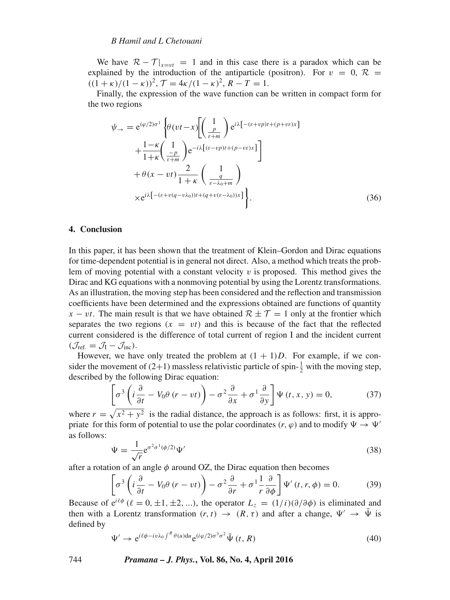### *B Hamil and L Chetouani*

We have  $\mathcal{R} - \mathcal{T}|_{x=vt} = 1$  and in this case there is a paradox which can be explained by the introduction of the antiparticle (positron). For  $v = 0$ ,  $\mathcal{R}$  =  $((1 + \kappa)/(1 - \kappa))^2$ ,  $\mathcal{T} = 4\kappa/(1 - \kappa)^2$ ,  $R - T = 1$ .

Finally, the expression of the wave function can be written in compact form for the two regions

$$
\psi_{\rightarrow} = e^{(\varphi/2)\sigma^{1}} \left\{ \theta(vt - x) \left[ \left( \frac{1}{\frac{p}{\varepsilon + m}} \right) e^{i\lambda \left[ -(\varepsilon + vp)t + (p + v\varepsilon)x \right]} \right. \right. \left. + \frac{1 - \kappa}{1 + \kappa} \left( \frac{1}{\frac{-p}{\varepsilon + m}} \right) e^{-i\lambda \left[ (\varepsilon - vp)t + (p - v\varepsilon)x \right]} \right] \left. + \theta(x - vt) \frac{2}{1 + \kappa} \left( \frac{q}{\varepsilon - \lambda_{0} + m} \right) \times e^{i\lambda \left[ -(\varepsilon + v(q - v\lambda_{0}))t + (q + v(\varepsilon - \lambda_{0}))x \right]} \right\}.
$$
\n(36)

## **4. Conclusion**

In this paper, it has been shown that the treatment of Klein–Gordon and Dirac equations for time-dependent potential is in general not direct. Also, a method which treats the problem of moving potential with a constant velocity  $v$  is proposed. This method gives the Dirac and KG equations with a nonmoving potential by using the Lorentz transformations. As an illustration, the moving step has been considered and the reflection and transmission coefficients have been determined and the expressions obtained are functions of quantity  $x - vt$ . The main result is that we have obtained  $\mathcal{R} \pm \mathcal{T} = 1$  only at the frontier which separates the two regions  $(x = vt)$  and this is because of the fact that the reflected current considered is the difference of total current of region I and the incident current  $(\mathcal{J}_{\text{ref.}} = \mathcal{J}_{\text{I}} - \mathcal{J}_{\text{inc}}).$ 

However, we have only treated the problem at  $(1 + 1)D$ . For example, if we consider the movement of  $(2+1)$  massless relativistic particle of spin- $\frac{1}{2}$  with the moving step, described by the following Dirac equation:

$$
\left[\sigma^3 \left(i\frac{\partial}{\partial t} - V_0 \theta (r - vt)\right) - \sigma^2 \frac{\partial}{\partial x} + \sigma^1 \frac{\partial}{\partial y}\right] \Psi (t, x, y) = 0, \tag{37}
$$

where  $r = \sqrt{x^2 + y^2}$  is the radial distance, the approach is as follows: first, it is appropriate for this form of potential to use the polar coordinates  $(r, \varphi)$  and to modify  $\Psi \to \Psi'$ as follows:

$$
\Psi = \frac{1}{\sqrt{r}} e^{\sigma^2 \sigma^1 (\phi/2)} \Psi'
$$
\n(38)

after a rotation of an angle  $\phi$  around OZ, the Dirac equation then becomes

$$
\left[\sigma^3 \left(i \frac{\partial}{\partial t} - V_0 \theta (r - vt)\right) - \sigma^2 \frac{\partial}{\partial r} + \sigma^1 \frac{1}{r} \frac{\partial}{\partial \phi}\right] \Psi'(t, r, \phi) = 0. \tag{39}
$$

Because of  $e^{i\ell\phi}$  ( $\ell = 0, \pm 1, \pm 2, ...$ ), the operator  $L_z = (1/i)(\partial/\partial\phi)$  is eliminated and then with a Lorentz transformation  $(r, t) \rightarrow (R, \tau)$  and after a change,  $\Psi' \rightarrow \bar{\Psi}$  is defined by

$$
\Psi' \to e^{i\ell\phi - iv\lambda_0 \int^R \theta(u)du} e^{(i\varphi/2)\sigma^3 \sigma^2} \bar{\Psi}(t, R)
$$
\n(40)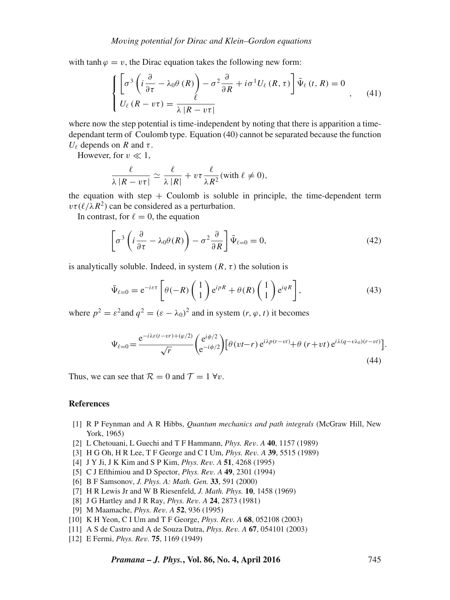with tanh  $\varphi = v$ , the Dirac equation takes the following new form:

$$
\begin{cases}\n\left[\sigma^3 \left(i \frac{\partial}{\partial \tau} - \lambda_0 \theta(R)\right) - \sigma^2 \frac{\partial}{\partial R} + i \sigma^1 U_\ell(R, \tau)\right] \bar{\Psi}_\ell(t, R) = 0 \\
U_\ell (R - v \tau) = \frac{\ell}{\lambda |R - v \tau|}\n\end{cases}
$$
\n(41)

where now the step potential is time-independent by noting that there is apparition a timedependant term of Coulomb type. Equation (40) cannot be separated because the function  $U_\ell$  depends on R and  $\tau$ .

However, for  $v \ll 1$ ,

$$
\frac{\ell}{\lambda |R - v\tau|} \simeq \frac{\ell}{\lambda |R|} + v\tau \frac{\ell}{\lambda R^2} \text{(with } \ell \neq 0\text{),}
$$

the equation with step  $+$  Coulomb is soluble in principle, the time-dependent term  $v\tau(\ell/\lambda R^2)$  can be considered as a perturbation.

In contrast, for  $\ell = 0$ , the equation

$$
\left[\sigma^3 \left(i \frac{\partial}{\partial \tau} - \lambda_0 \theta(R)\right) - \sigma^2 \frac{\partial}{\partial R}\right] \bar{\Psi}_{\ell=0} = 0, \tag{42}
$$

is analytically soluble. Indeed, in system  $(R, \tau)$  the solution is

$$
\bar{\Psi}_{\ell=0} = e^{-i\varepsilon\tau} \left[ \theta(-R) \begin{pmatrix} 1 \\ 1 \end{pmatrix} e^{ipR} + \theta(R) \begin{pmatrix} 1 \\ 1 \end{pmatrix} e^{iqR} \right],\tag{43}
$$

where  $p^2 = \varepsilon^2$  and  $q^2 = (\varepsilon - \lambda_0)^2$  and in system  $(r, \varphi, t)$  it becomes

$$
\Psi_{\ell=0} = \frac{e^{-i\lambda\varepsilon(t-vr) + (\varphi/2)}}{\sqrt{r}} \begin{pmatrix} e^{i\phi/2} \\ e^{-i\phi/2} \end{pmatrix} \left[ \theta(vt-r) e^{i\lambda\rho(r-vt)} + \theta(r+vt) e^{i\lambda(q-v\lambda_0)(r-vt)} \right].
$$
\n(44)

Thus, we can see that  $\mathcal{R} = 0$  and  $\mathcal{T} = 1 \,\forall v$ .

#### **References**

- [1] R P Feynman and A R Hibbs, *Quantum mechanics and path integrals* (McGraw Hill, New York, 1965)
- [2] L Chetouani, L Guechi and T F Hammann, *Phys. Re*v*. A* **40**, 1157 (1989)
- [3] H G Oh, H R Lee, T F George and C I Um, *Phys. Re*v*. A* **39**, 5515 (1989)
- [4] J Y Ji, J K Kim and S P Kim, *Phys. Re*v*. A* **51**, 4268 (1995)
- [5] C J Efthimiou and D Spector, *Phys. Re*v*. A* **49**, 2301 (1994)
- [6] B F Samsonov, *J. Phys. A: Math. Gen.* **33**, 591 (2000)
- [7] H R Lewis Jr and W B Riesenfeld, *J. Math. Phys.* **10**, 1458 (1969)
- [8] J G Hartley and J R Ray, *Phys. Re*v*. A* **24**, 2873 (1981)
- [9] M Maamache, *Phys. Re*v*. A* **52**, 936 (1995)
- [10] K H Yeon, C I Um and T F George, *Phys. Re*v*. A* **68**, 052108 (2003)
- [11] A S de Castro and A de Souza Dutra, *Phys. Re*v*. A* **67**, 054101 (2003)
- [12] E Fermi, *Phys. Re*v*.* **75**, 1169 (1949)